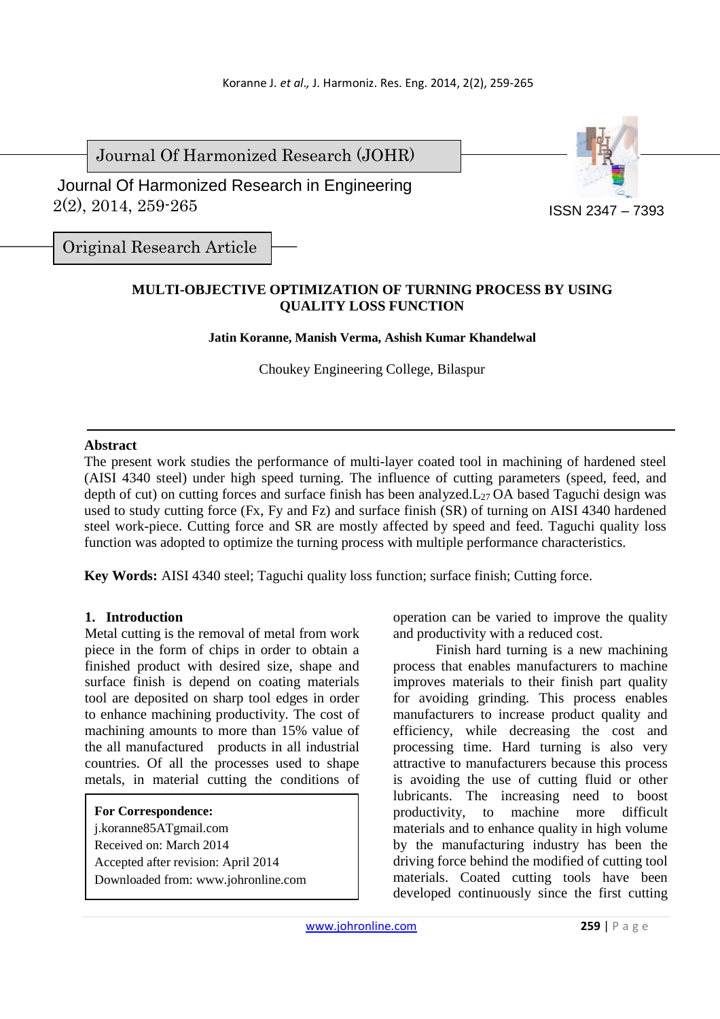Journal Of Harmonized Research (JOHR)

 2(2), 2014, 259-265 Journal Of Harmonized Research in Engineering



Original Research Article

# **MULTI-OBJECTIVE OPTIMIZATION OF TURNING PROCESS BY USING QUALITY LOSS FUNCTION**

**Jatin Koranne, Manish Verma, Ashish Kumar Khandelwal** 

Choukey Engineering College, Bilaspur

## **Abstract**

The present work studies the performance of multi-layer coated tool in machining of hardened steel (AISI 4340 steel) under high speed turning. The influence of cutting parameters (speed, feed, and depth of cut) on cutting forces and surface finish has been analyzed. L<sub>27</sub> OA based Taguchi design was used to study cutting force (Fx, Fy and Fz) and surface finish (SR) of turning on AISI 4340 hardened steel work-piece. Cutting force and SR are mostly affected by speed and feed. Taguchi quality loss function was adopted to optimize the turning process with multiple performance characteristics.

**Key Words:** AISI 4340 steel; Taguchi quality loss function; surface finish; Cutting force.

## **1. Introduction**

Metal cutting is the removal of metal from work piece in the form of chips in order to obtain a finished product with desired size, shape and surface finish is depend on coating materials tool are deposited on sharp tool edges in order to enhance machining productivity. The cost of machining amounts to more than 15% value of the all manufactured products in all industrial countries. Of all the processes used to shape metals, in material cutting the conditions of

|  | <b>For Correspondence:</b> |
|--|----------------------------|
|--|----------------------------|

j.koranne85ATgmail.com Received on: March 2014 Accepted after revision: April 2014 Downloaded from: www.johronline.com operation can be varied to improve the quality and productivity with a reduced cost.

Finish hard turning is a new machining process that enables manufacturers to machine improves materials to their finish part quality for avoiding grinding. This process enables manufacturers to increase product quality and efficiency, while decreasing the cost and processing time. Hard turning is also very attractive to manufacturers because this process is avoiding the use of cutting fluid or other lubricants. The increasing need to boost productivity, to machine more difficult materials and to enhance quality in high volume by the manufacturing industry has been the driving force behind the modified of cutting tool materials. Coated cutting tools have been developed continuously since the first cutting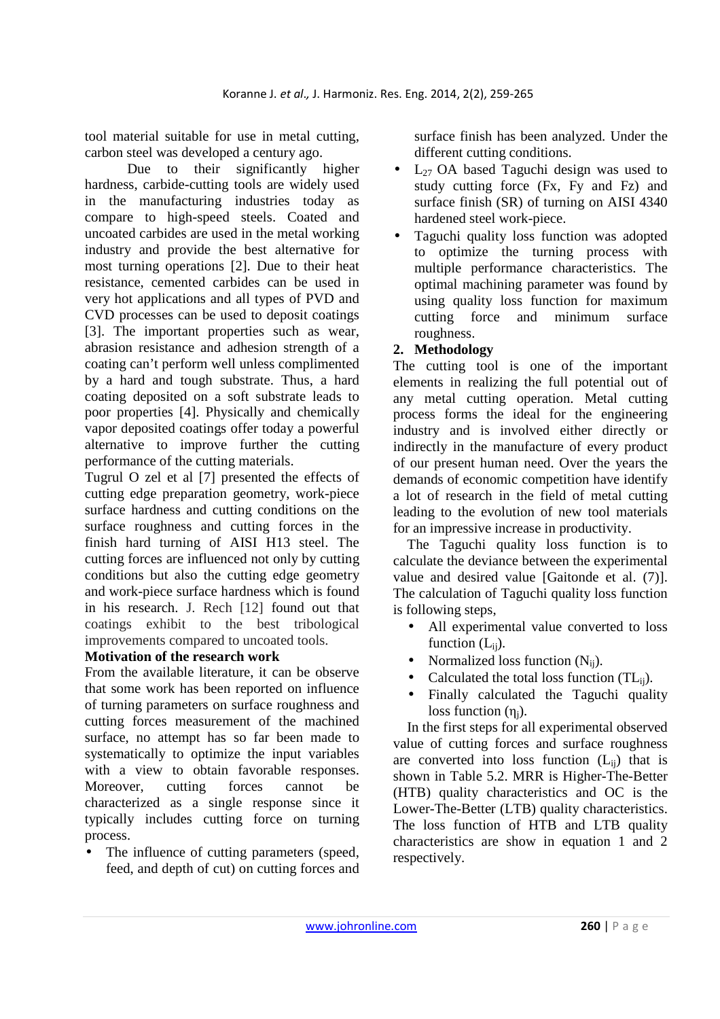tool material suitable for use in metal cutting, carbon steel was developed a century ago.

Due to their significantly higher hardness, carbide-cutting tools are widely used in the manufacturing industries today as compare to high-speed steels. Coated and uncoated carbides are used in the metal working industry and provide the best alternative for most turning operations [2]. Due to their heat resistance, cemented carbides can be used in very hot applications and all types of PVD and CVD processes can be used to deposit coatings [3]. The important properties such as wear, abrasion resistance and adhesion strength of a coating can't perform well unless complimented by a hard and tough substrate. Thus, a hard coating deposited on a soft substrate leads to poor properties [4]. Physically and chemically vapor deposited coatings offer today a powerful alternative to improve further the cutting performance of the cutting materials.

Tugrul O zel et al [7] presented the effects of cutting edge preparation geometry, work-piece surface hardness and cutting conditions on the surface roughness and cutting forces in the finish hard turning of AISI H13 steel. The cutting forces are influenced not only by cutting conditions but also the cutting edge geometry and work-piece surface hardness which is found in his research. J. Rech [12] found out that coatings exhibit to the best tribological improvements compared to uncoated tools.

## **Motivation of the research work**

From the available literature, it can be observe that some work has been reported on influence of turning parameters on surface roughness and cutting forces measurement of the machined surface, no attempt has so far been made to systematically to optimize the input variables with a view to obtain favorable responses. Moreover, cutting forces cannot be characterized as a single response since it typically includes cutting force on turning process.

The influence of cutting parameters (speed, feed, and depth of cut) on cutting forces and surface finish has been analyzed. Under the different cutting conditions.

- L<sub>27</sub> OA based Taguchi design was used to study cutting force (Fx, Fy and Fz) and surface finish (SR) of turning on AISI 4340 hardened steel work-piece.
- Taguchi quality loss function was adopted to optimize the turning process with multiple performance characteristics. The optimal machining parameter was found by using quality loss function for maximum cutting force and minimum surface roughness.

# **2. Methodology**

The cutting tool is one of the important elements in realizing the full potential out of any metal cutting operation. Metal cutting process forms the ideal for the engineering industry and is involved either directly or indirectly in the manufacture of every product of our present human need. Over the years the demands of economic competition have identify a lot of research in the field of metal cutting leading to the evolution of new tool materials for an impressive increase in productivity.

The Taguchi quality loss function is to calculate the deviance between the experimental value and desired value [Gaitonde et al. (7)]. The calculation of Taguchi quality loss function is following steps,

- All experimental value converted to loss function  $(L_{ii})$ .
- Normalized loss function  $(N_{ii})$ .
- Calculated the total loss function  $(TL_{ii})$ .
- Finally calculated the Taguchi quality loss function  $(\eta_i)$ .

In the first steps for all experimental observed value of cutting forces and surface roughness are converted into loss function  $(L_{ii})$  that is shown in Table 5.2. MRR is Higher-The-Better (HTB) quality characteristics and OC is the Lower-The-Better (LTB) quality characteristics. The loss function of HTB and LTB quality characteristics are show in equation 1 and 2 respectively.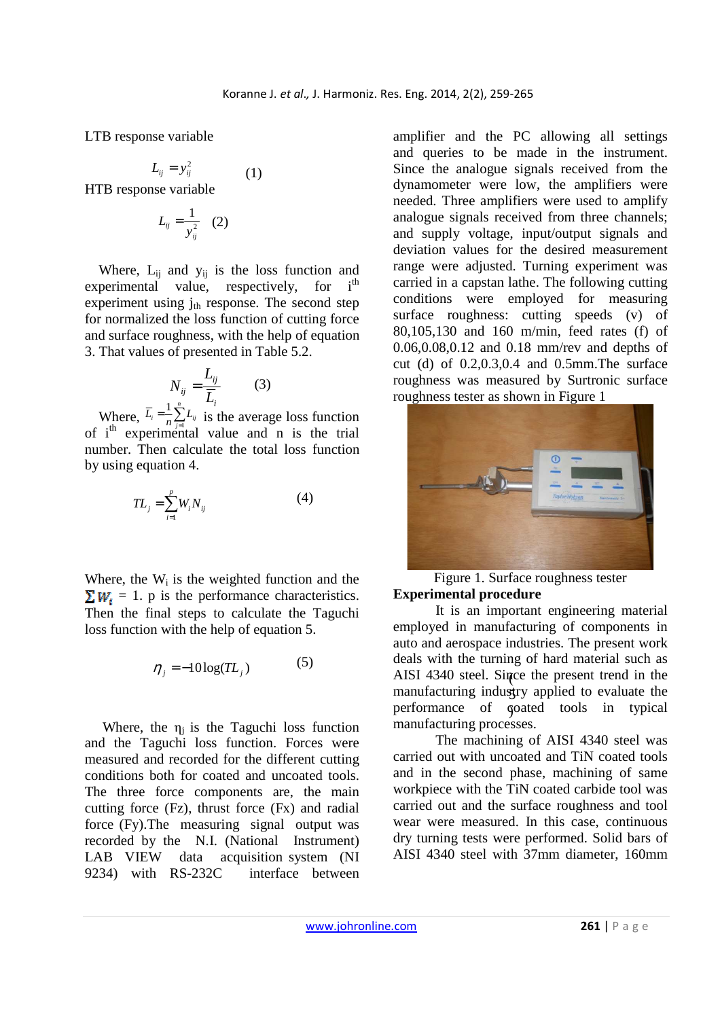LTB response variable

$$
L_{ij} = y_{ij}^2 \tag{1}
$$

HTB response variable

$$
L_{ij}=\frac{1}{y_{ij}^2} \quad (2)
$$

Where,  $L_{ii}$  and  $y_{ii}$  is the loss function and experimental value, respectively, for  $i<sup>th</sup>$ experiment using  $i_{th}$  response. The second step for normalized the loss function of cutting force and surface roughness, with the help of equation 3. That values of presented in Table 5.2.

$$
N_{ij} = \frac{L_{ij}}{\overline{L}_i} \tag{3}
$$

Where,  $L_i = \frac{1}{n} \sum_i L_{ij}$  is the average loss function of i<sup>th</sup> experimental value and n is the trial number. Then calculate the total loss function by using equation 4.  $=\frac{1}{n}\sum_{j=1}^{n}$  $L_i = -\sum_{j=1}^{i} L_{ij}$ 1

$$
TL_j = \sum_{i=1}^{p} W_i N_{ij}
$$
 (4)

Where, the  $W_i$  is the weighted function and the  $\sum W_i = 1$ . p is the performance characteristics. Then the final steps to calculate the Taguchi loss function with the help of equation 5.

$$
\eta_j = -10\log(T L_j) \tag{5}
$$

Where, the  $\eta_i$  is the Taguchi loss function and the Taguchi loss function. Forces were measured and recorded for the different cutting conditions both for coated and uncoated tools. The three force components are, the main cutting force (Fz), thrust force (Fx) and radial force (Fy).The measuring signal output was recorded by the N.I. (National Instrument) LAB VIEW data acquisition system (NI 9234) with RS-232C interface between amplifier and the PC allowing all settings and queries to be made in the instrument. Since the analogue signals received from the dynamometer were low, the amplifiers were needed. Three amplifiers were used to amplify analogue signals received from three channels; and supply voltage, input/output signals and deviation values for the desired measurement range were adjusted. Turning experiment was carried in a capstan lathe. The following cutting conditions were employed for measuring surface roughness: cutting speeds (v) of 80,105,130 and 160 m/min, feed rates (f) of 0.06,0.08,0.12 and 0.18 mm/rev and depths of cut (d) of 0.2,0.3,0.4 and 0.5mm.The surface roughness was measured by Surtronic surface roughness tester as shown in Figure 1



Figure 1. Surface roughness tester **Experimental procedure** 

AISI 4340 steel. Since the present trend in the manufacturing industry applied to evaluate the performance of goated tools in typical It is an important engineering material employed in manufacturing of components in auto and aerospace industries. The present work deals with the turning of hard material such as manufacturing processes.

The machining of AISI 4340 steel was carried out with uncoated and TiN coated tools and in the second phase, machining of same workpiece with the TiN coated carbide tool was carried out and the surface roughness and tool wear were measured. In this case, continuous dry turning tests were performed. Solid bars of AISI 4340 steel with 37mm diameter, 160mm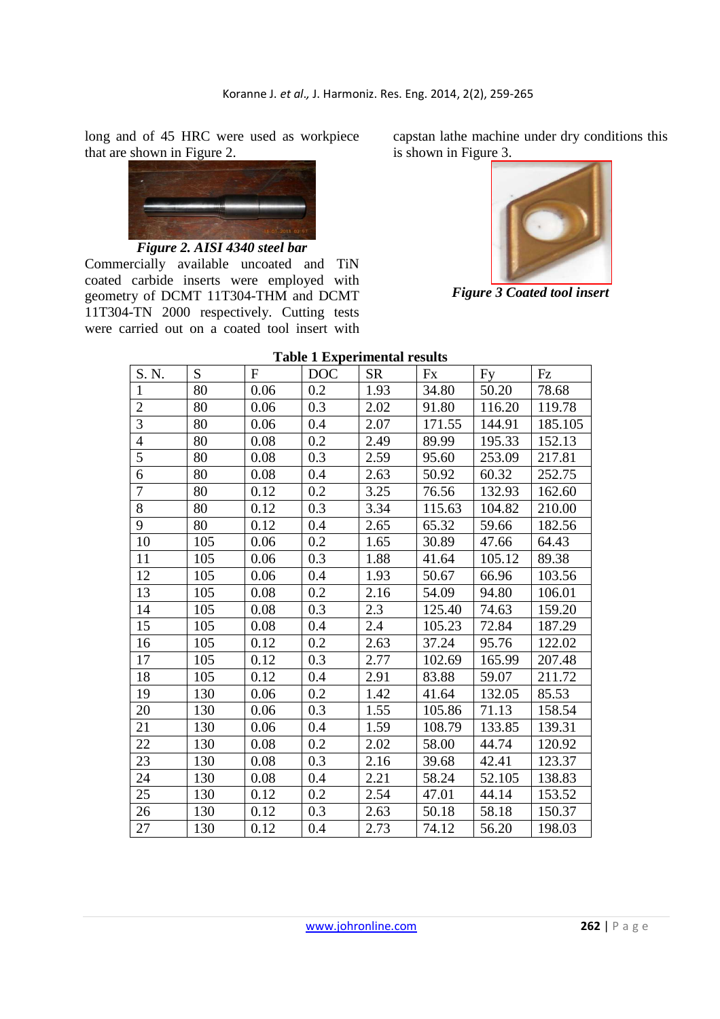long and of 45 HRC were used as workpiece that are shown in Figure 2.



*Figure 2. AISI 4340 steel bar* 

Commercially available uncoated and TiN coated carbide inserts were employed with geometry of DCMT 11T304-THM and DCMT 11T304-TN 2000 respectively. Cutting tests were carried out on a coated tool insert with

capstan lathe machine under dry conditions this is shown in Figure 3.



*Figure 3 Coated tool insert* 

#### **Table 1 Experimental results**

| ruore i Experimental results |     |              |            |           |        |        |         |
|------------------------------|-----|--------------|------------|-----------|--------|--------|---------|
| S. N.                        | S   | $\mathbf{F}$ | <b>DOC</b> | <b>SR</b> | Fx     | Fy     | Fz      |
| $\mathbf{1}$                 | 80  | 0.06         | 0.2        | 1.93      | 34.80  | 50.20  | 78.68   |
| $\overline{2}$               | 80  | 0.06         | 0.3        | 2.02      | 91.80  | 116.20 | 119.78  |
| $\overline{3}$               | 80  | 0.06         | 0.4        | 2.07      | 171.55 | 144.91 | 185.105 |
| 4                            | 80  | 0.08         | 0.2        | 2.49      | 89.99  | 195.33 | 152.13  |
| 5                            | 80  | 0.08         | 0.3        | 2.59      | 95.60  | 253.09 | 217.81  |
| 6                            | 80  | 0.08         | 0.4        | 2.63      | 50.92  | 60.32  | 252.75  |
| 7                            | 80  | 0.12         | 0.2        | 3.25      | 76.56  | 132.93 | 162.60  |
| 8                            | 80  | 0.12         | 0.3        | 3.34      | 115.63 | 104.82 | 210.00  |
| 9                            | 80  | 0.12         | 0.4        | 2.65      | 65.32  | 59.66  | 182.56  |
| 10                           | 105 | 0.06         | 0.2        | 1.65      | 30.89  | 47.66  | 64.43   |
| 11                           | 105 | 0.06         | 0.3        | 1.88      | 41.64  | 105.12 | 89.38   |
| 12                           | 105 | 0.06         | 0.4        | 1.93      | 50.67  | 66.96  | 103.56  |
| 13                           | 105 | 0.08         | 0.2        | 2.16      | 54.09  | 94.80  | 106.01  |
| 14                           | 105 | 0.08         | 0.3        | 2.3       | 125.40 | 74.63  | 159.20  |
| 15                           | 105 | 0.08         | 0.4        | 2.4       | 105.23 | 72.84  | 187.29  |
| 16                           | 105 | 0.12         | 0.2        | 2.63      | 37.24  | 95.76  | 122.02  |
| 17                           | 105 | 0.12         | 0.3        | 2.77      | 102.69 | 165.99 | 207.48  |
| 18                           | 105 | 0.12         | 0.4        | 2.91      | 83.88  | 59.07  | 211.72  |
| 19                           | 130 | 0.06         | 0.2        | 1.42      | 41.64  | 132.05 | 85.53   |
| 20                           | 130 | 0.06         | 0.3        | 1.55      | 105.86 | 71.13  | 158.54  |
| 21                           | 130 | 0.06         | 0.4        | 1.59      | 108.79 | 133.85 | 139.31  |
| 22                           | 130 | 0.08         | 0.2        | 2.02      | 58.00  | 44.74  | 120.92  |
| 23                           | 130 | 0.08         | 0.3        | 2.16      | 39.68  | 42.41  | 123.37  |
| 24                           | 130 | 0.08         | 0.4        | 2.21      | 58.24  | 52.105 | 138.83  |
| 25                           | 130 | 0.12         | 0.2        | 2.54      | 47.01  | 44.14  | 153.52  |
| 26                           | 130 | 0.12         | 0.3        | 2.63      | 50.18  | 58.18  | 150.37  |
| 27                           | 130 | 0.12         | 0.4        | 2.73      | 74.12  | 56.20  | 198.03  |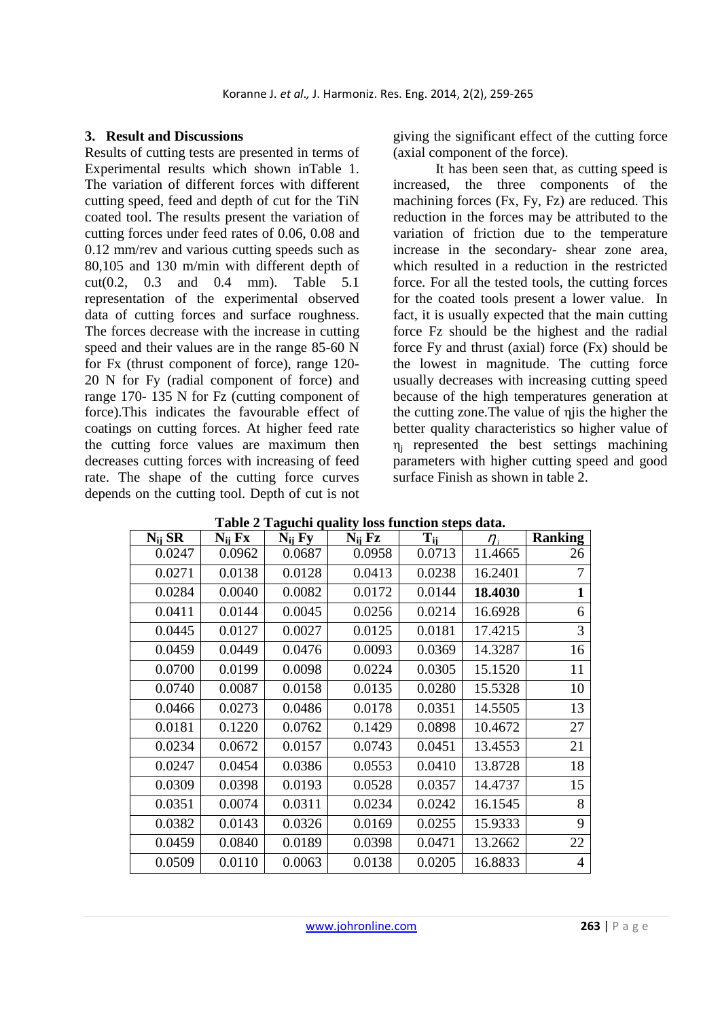### **3. Result and Discussions**

Results of cutting tests are presented in terms of Experimental results which shown inTable 1. The variation of different forces with different cutting speed, feed and depth of cut for the TiN coated tool. The results present the variation of cutting forces under feed rates of 0.06, 0.08 and 0.12 mm/rev and various cutting speeds such as 80,105 and 130 m/min with different depth of cut(0.2, 0.3 and 0.4 mm). Table 5.1 representation of the experimental observed data of cutting forces and surface roughness. The forces decrease with the increase in cutting speed and their values are in the range 85-60 N for Fx (thrust component of force), range 120- 20 N for Fy (radial component of force) and range 170- 135 N for Fz (cutting component of force).This indicates the favourable effect of coatings on cutting forces. At higher feed rate the cutting force values are maximum then decreases cutting forces with increasing of feed rate. The shape of the cutting force curves depends on the cutting tool. Depth of cut is not

giving the significant effect of the cutting force (axial component of the force).

It has been seen that, as cutting speed is increased, the three components of the machining forces (Fx, Fy, Fz) are reduced. This reduction in the forces may be attributed to the variation of friction due to the temperature increase in the secondary- shear zone area, which resulted in a reduction in the restricted force. For all the tested tools, the cutting forces for the coated tools present a lower value. In fact, it is usually expected that the main cutting force Fz should be the highest and the radial force Fy and thrust (axial) force (Fx) should be the lowest in magnitude. The cutting force usually decreases with increasing cutting speed because of the high temperatures generation at the cutting zone.The value of ηjis the higher the better quality characteristics so higher value of  $\eta_i$  represented the best settings machining parameters with higher cutting speed and good surface Finish as shown in table 2.

| $N_{ii}$ SR | $N_{ii}$ $Fx$ | $N_{ii}$ Fy | $N_{ii}$ $Fz$ | $T_{ii}$ | $\eta$ , | <b>Ranking</b> |
|-------------|---------------|-------------|---------------|----------|----------|----------------|
| 0.0247      | 0.0962        | 0.0687      | 0.0958        | 0.0713   | 11.4665  | 26             |
| 0.0271      | 0.0138        | 0.0128      | 0.0413        | 0.0238   | 16.2401  | 7              |
| 0.0284      | 0.0040        | 0.0082      | 0.0172        | 0.0144   | 18.4030  | 1              |
| 0.0411      | 0.0144        | 0.0045      | 0.0256        | 0.0214   | 16.6928  | 6              |
| 0.0445      | 0.0127        | 0.0027      | 0.0125        | 0.0181   | 17.4215  | 3              |
| 0.0459      | 0.0449        | 0.0476      | 0.0093        | 0.0369   | 14.3287  | 16             |
| 0.0700      | 0.0199        | 0.0098      | 0.0224        | 0.0305   | 15.1520  | 11             |
| 0.0740      | 0.0087        | 0.0158      | 0.0135        | 0.0280   | 15.5328  | 10             |
| 0.0466      | 0.0273        | 0.0486      | 0.0178        | 0.0351   | 14.5505  | 13             |
| 0.0181      | 0.1220        | 0.0762      | 0.1429        | 0.0898   | 10.4672  | 27             |
| 0.0234      | 0.0672        | 0.0157      | 0.0743        | 0.0451   | 13.4553  | 21             |
| 0.0247      | 0.0454        | 0.0386      | 0.0553        | 0.0410   | 13.8728  | 18             |
| 0.0309      | 0.0398        | 0.0193      | 0.0528        | 0.0357   | 14.4737  | 15             |
| 0.0351      | 0.0074        | 0.0311      | 0.0234        | 0.0242   | 16.1545  | 8              |
| 0.0382      | 0.0143        | 0.0326      | 0.0169        | 0.0255   | 15.9333  | 9              |
| 0.0459      | 0.0840        | 0.0189      | 0.0398        | 0.0471   | 13.2662  | 22             |
| 0.0509      | 0.0110        | 0.0063      | 0.0138        | 0.0205   | 16.8833  | 4              |

**Table 2 Taguchi quality loss function steps data.**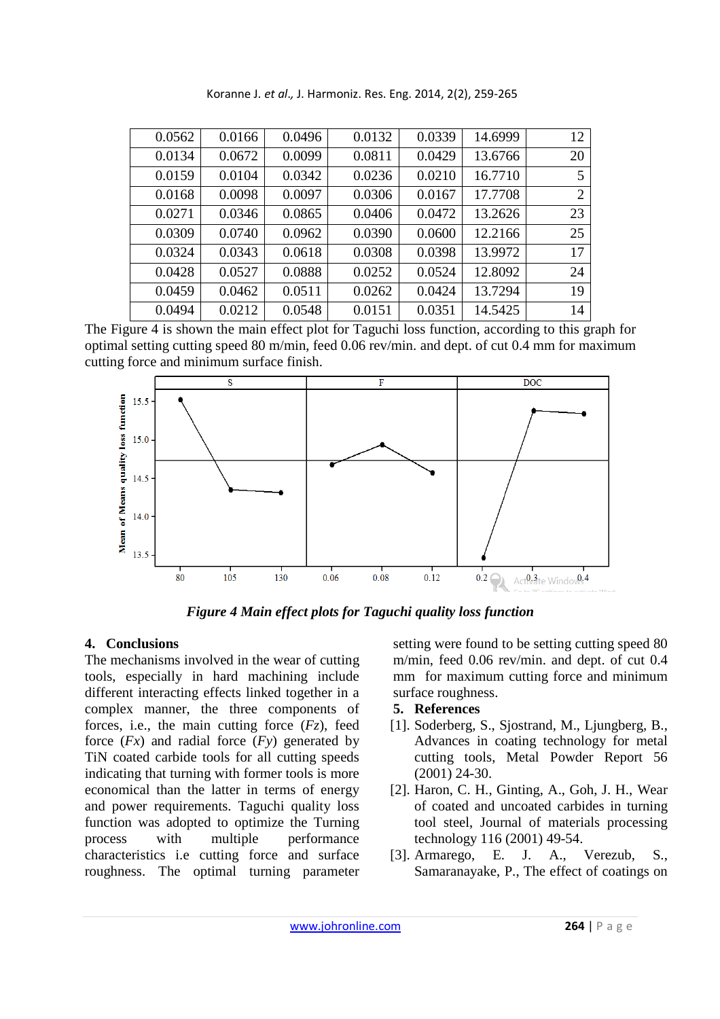| 0.0562 | 0.0166 | 0.0496 | 0.0132 | 0.0339 | 14.6999 | 12             |
|--------|--------|--------|--------|--------|---------|----------------|
| 0.0134 | 0.0672 | 0.0099 | 0.0811 | 0.0429 | 13.6766 | 20             |
| 0.0159 | 0.0104 | 0.0342 | 0.0236 | 0.0210 | 16.7710 | 5              |
| 0.0168 | 0.0098 | 0.0097 | 0.0306 | 0.0167 | 17.7708 | $\overline{2}$ |
| 0.0271 | 0.0346 | 0.0865 | 0.0406 | 0.0472 | 13.2626 | 23             |
| 0.0309 | 0.0740 | 0.0962 | 0.0390 | 0.0600 | 12.2166 | 25             |
| 0.0324 | 0.0343 | 0.0618 | 0.0308 | 0.0398 | 13.9972 | 17             |
| 0.0428 | 0.0527 | 0.0888 | 0.0252 | 0.0524 | 12.8092 | 24             |
| 0.0459 | 0.0462 | 0.0511 | 0.0262 | 0.0424 | 13.7294 | 19             |
| 0.0494 | 0.0212 | 0.0548 | 0.0151 | 0.0351 | 14.5425 | 14             |

Koranne J. *et al*.*,* J. Harmoniz. Res. Eng. 2014, 2(2), 259-265

The Figure 4 is shown the main effect plot for Taguchi loss function, according to this graph for optimal setting cutting speed 80 m/min, feed 0.06 rev/min. and dept. of cut 0.4 mm for maximum cutting force and minimum surface finish.



*Figure 4 Main effect plots for Taguchi quality loss function* 

# **4. Conclusions**

The mechanisms involved in the wear of cutting tools, especially in hard machining include different interacting effects linked together in a complex manner, the three components of forces, i.e., the main cutting force (*Fz*), feed force (*Fx*) and radial force (*Fy*) generated by TiN coated carbide tools for all cutting speeds indicating that turning with former tools is more economical than the latter in terms of energy and power requirements. Taguchi quality loss function was adopted to optimize the Turning process with multiple performance characteristics i.e cutting force and surface roughness. The optimal turning parameter setting were found to be setting cutting speed 80 m/min, feed 0.06 rev/min. and dept. of cut 0.4 mm for maximum cutting force and minimum surface roughness.

# **5. References**

- [1]. Soderberg, S., Sjostrand, M., Ljungberg, B., Advances in coating technology for metal cutting tools, Metal Powder Report 56 (2001) 24-30.
- [2]. Haron, C. H., Ginting, A., Goh, J. H., Wear of coated and uncoated carbides in turning tool steel, Journal of materials processing technology 116 (2001) 49-54.
- [3]. Armarego, E. J. A., Verezub, S., Samaranayake, P., The effect of coatings on